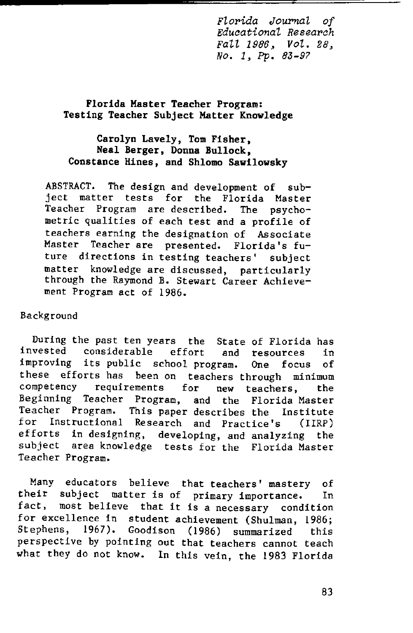*Florida Journal of Eduaational Researah Fall* 1986, *Vol. 28, No.1, Pp. 83-97*

### Florida Master Teacher Program: Testing Teacher Subject Matter Knowledge

### Carolyn Lavely, Tom Fisher, Neal Berger, Donna Bullock, Constance Hines, and Shlomo Sawilowsky

ABSTRACT. The design and development of subject matter tests for the Florida Master Teacher Program are described. The psychometric qualities of each test and a profile of teachers earning the designation of Associate Master Teacher are presented. Florida's future directions in testing teachers' subject matter knowledge are discussed, particularly through the Raymond B. Stewart Career Achievement Program act of 1986.

### Background

During the past ten years the State of Florida has invested considerable effort and resources in improving its public school program. One focus of these efforts has been on teachers through minimum<br>competency requirements for new teachers, the **competency requirements for new teachers, the** Beginning Teacher Program, and the Florida Master Teacher Program. This paper describes the Institute Instructional Research and Practice's (IIRP) efforts in designing, developing, and analyzing the subject area knowledge tests for the Florida Master Teacher Program.

Many educators believe that teachers' mastery of their subject matter is of primary importance. In fact, most believe that it is a necessary condition for excellence in student achievement (Shulman, 1986; Stephens, 1967). Goodison (1986) summarized this perspective by pointing out that teachers cannot teach what they do not know. In this vein, the 1983 Florida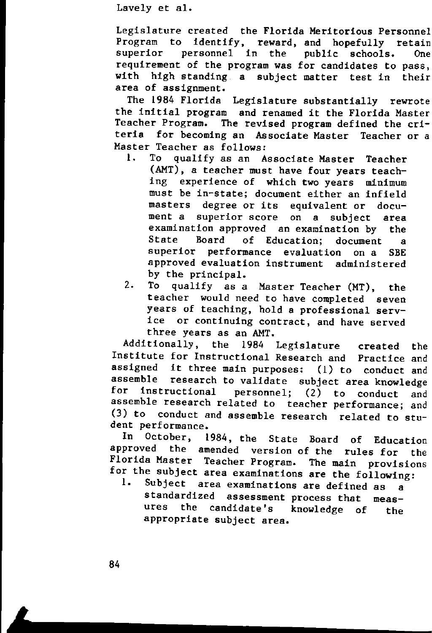Legislature created the Florida Meritorious Personnel Program to identify, reward, and hopefully retain<br>superior personnel in the public schools. One personnel in the public schools. One requirement of the program was for candidates to pass, with high standing. a subject matter test in their area of assignment.

The 1984 Florida Legislature substantially rewrote the initial program and renamed it the Florida Master Teacher Program. The revised program defined the criteria for becoming an Associate Master Teacher or a Master Teacher as follows:<br>1. To qualify as an A

- qualify as an Associate Master Teacher (AMT), a teacher must have four years teaching experience of which two years minimum must be in-state; document either an infield **masters degree or its equivalent or document a superior score on a subject area** examination approved an examination by the State Board of Education; document a **superior performance evaluation on a SBE** approved evaluation instrument administered by the principal.<br>To qualify as a
- 2. To qualify as a Master Teacher (MT), the teacher would need to have completed seven years of teaching, hold a professional service or continuing contract, and have served three years as an AMT.

Additionally, the 1984 Legislature created the Institute for Instructional Research and Practice and assigned it three main purposes: (1) to conduct and assemble research to validate subject area knowledge<br>for instructional personnel: (2) to conduct and personnel;  $(2)$  to conduct and assemble research related to teacher performance; and (3) to conduct and assemble research related to student performance.

In October, 1984, the State Board of Education approved the amended version of the rules for the Florida Master Teacher Program. The main provisions for the subject area examinations are the following:

Subject area examinations are defined as a standardized assessment process that measures the candidate's knowledge of the appropriate subject area.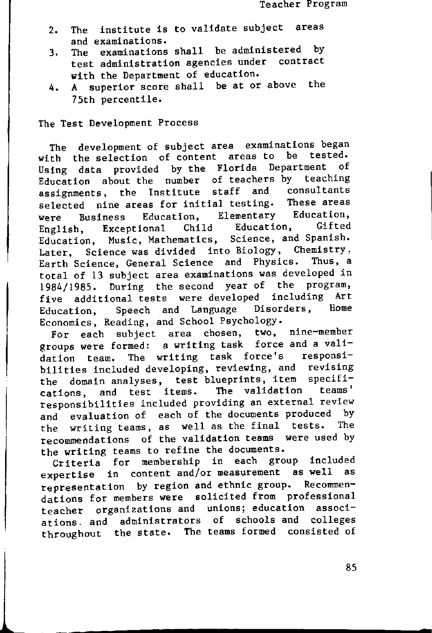- 2. The institute is to validate subject areas **and examinations.**
- 3. The examinations shall be administered by test administration agencies under contract with the Department of education.
- 4. A superior score shall be at or above the 75th percentile.

The Test Development Process

The development of subject area examinations began<br>th the selection of content areas to be tested. with the selection of content areas to be tested. Using data provided by the Florida Department Education about the number of teachers by teaching<br>accignments, the Institute staff and consultants assignments, the Institute staff and consultants<br>solacted nine-areas-for-initial-testing. These-areas selected nine areas for initial testing. were Business Education, Elementary Education,<br>English Executional Child Education, Gifted English, Exceptional Child Education, Gifted **Education, Music, Mathematics, Science, and Spanish.** Later, Science was divided into Biology, Chemistry, Earth Science, General Science and Physics. Thus, a total of 13 subject area examinations was developed in 1984/1985. During the second year of the program, five additional tests were developed including Art<br>Education, Speech and Language Disorders, Home Education, Speech and Language Economics, Reading, and School Psychology.

**For each subject area chosen, two, nine-member** groups were formed: a writing task force and a validation team. The writing task force's responsibilities included developing, reviewing, and revising the domain analyses, test blueprints, item specifi-<br>cations, and test items. The validation teams' cations, and test items. **responsibilities included providing an external review** and evaluation of each of the documents produced by the writing teams, as well as the final tests. The recommendations of the validation teams were used by the writing teams to refine the documents.

Criteria for membership in each group included expertise in content and/or measurement as well as representation by region and ethnic group. Recommendations for members were solicited from professional **teacher organizations and unions; education associ**ations. and administrators of schools and colleges throughout the state. The teams formed consisted of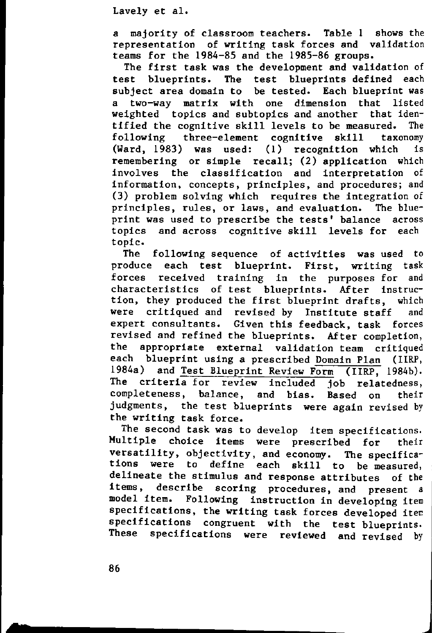a majority of classroom teachers. Table 1 shows the representation of writing task forces and validation teams for the 1984-85 and the 1985-86 groups.

The first task was the development and validation of test blueprints. The test blueprints defined each subject area domain to be tested. Each blueprint was a two-way matrix with one dimension that listed weighted topics and subtopics and another that identified the cognitive skill levels to be measured. The following three-element cognitive skill taxonomy (Ward, 1983) was used: (1) recognition which is remembering or simple recall; (2) application which involves the classification and interpretation of **information, concepts, principles, and procedures; and** (3) problem solving which requires the integration of principles, rules, or laws, and evaluation. The blueprint was used to prescribe the tests' balance across topics and across cognitive skill levels for each topic.

The following sequence of activities was used to produce each test blueprint. First, writing task forces received training in the purposes for and characteristics of test blueprints. After instruction, they produced the first blueprint drafts, which were critiqued and revised by Institute staff and expert consultants. Given this feedback, task forces revised and refined the blueprints. After completion, the appropriate external validation team critiqued each blueprint using a prescribed Domain Plan (1IRP, 1984a) and Test Blueprint Review Form (IIRP, 1984b). The criteria for review included job relatedness, completeness, balance, and bias. Based on their judgments, the test blueprints were again revised by the writing task force.

The second task was to develop item specifications. Multiple choice items were prescribed for their versatility, objectivity, and economy. The specifications were to define each skill to be measured, delineate the stimulus and response attributes of the **items, describe scoring procedures, and present a** Following instruction in developing item specifications, the writing task forces developed item specifications congruent with the test-blueprints.<br>These specifications were reviewed and rouised by specifications were reviewed and revised by

**s**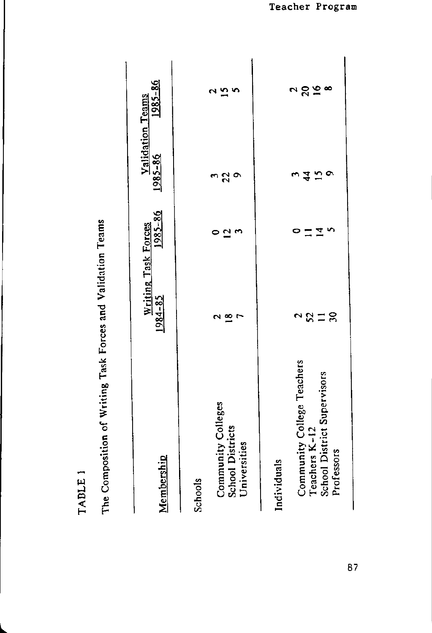| Community Colleges<br><b>School Districts</b><br>Universities<br>Membership<br>Schools                  | Writing Task Forces<br>1984-85<br>$\tilde{=}$ | 1985-86<br>$\overline{\mathbf{c}}$ | $1985 - 86$<br>$2^{\circ}$                    | $1985 - 86$<br>m<br>$\mathbf{L}$<br>ત્ર<br>Validation Teams |
|---------------------------------------------------------------------------------------------------------|-----------------------------------------------|------------------------------------|-----------------------------------------------|-------------------------------------------------------------|
| Community College Teachers<br>School District Supervisors<br>Teachers K-12<br>Professors<br>Individuals | $\mathcal{S}$<br>25<br>$\equiv$<br>$\sim$     | ທ<br>⊻                             | $\bullet$<br>$\overline{15}$<br>$\frac{4}{4}$ | 7008<br>ี                                                   |

The Composition of Writing Task Forces and Validation Teams

TABLE 1

87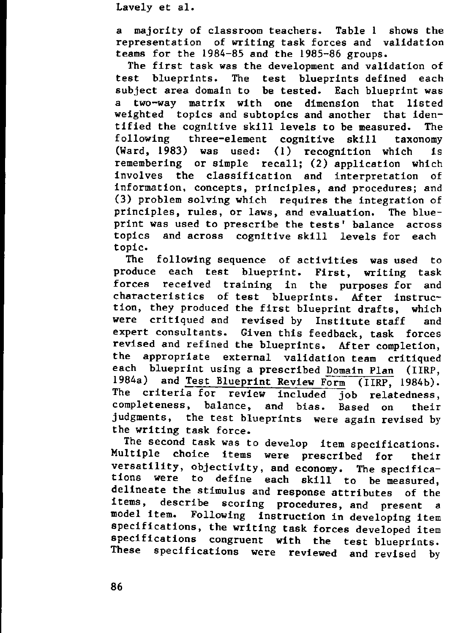<sup>a</sup> majority of classroom teachers. Table I shows the representation of writing task forces and validation teams for the 1984-85 and the 1985-86 groups.

The first task was the development and validation of test blueprints. The test blueprints defined each subject area domain to be tested. Each blueprint was a two-way matrix with one dimension that listed weighted topics and subtopics and another that identified the cognitive skill levels to be measured. The following three-element cognitive skill taxonomy (Ward, 1983) was used: (I) recognition which is remembering or simple recall; (2) application which involves the classification and interpretation of **information, concepts, principles, and procedures; and** (3) problem solving which requires the integration of principles, rules, or laws, and evaluation. The blueprint was used to prescribe the tests' balance across topics and across cognitive skill levels for each topic.

The following sequence of activities was used to produce each test blueprint. First, writing task forces received training in the purposes for and characteristics of test blueprints. After instruction, they produced the first blueprint drafts, which were critiqued and revised by Institute staff and expert consultants. Given this feedback, task forces revised and refined the blueprints. After completion, the appropriate external validation team critiqued each blueprint using a prescribed Domain Plan (IIRP, 1984a) and Test Blueprint Review Form (IIRP, 1984b). The criteria for review included job relatedness, completeness, balance, and bias. Based on their judgments, the test blueprints were again revised by the writing task force.

The second task was to develop item specifications. Multiple choice items were prescribed for their versatility, objectivity, and economy. The specifica-<br>tions were to define each skill to be measured define each skill to be measured, delineate the stimulus and response attributes of the<br>items, describe scoring procedures and present a describe scoring procedures, and present a model item. Following instruction in developing item specifications, the writing task forces developed item specifications congruent with the test-blueprints.<br>These specifications were reviewed and revised by specifications were reviewed and revised by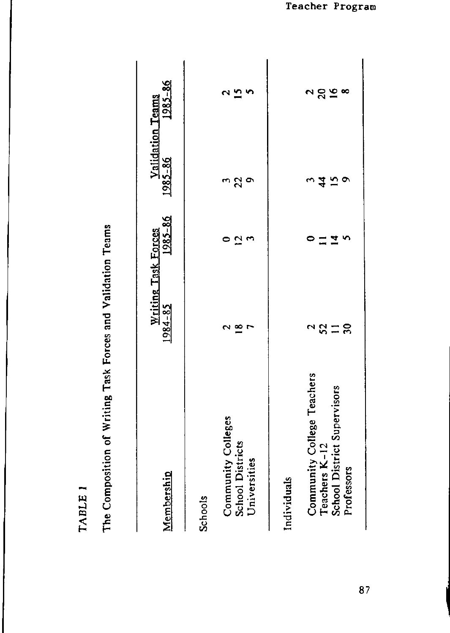| 280<br>$\frac{2}{15}$<br>S<br>N<br>$\bullet$<br><u>ე</u><br>22<br>$\circ$<br>$\frac{4}{4}$<br>$\overline{15}$<br>$\overline{5}$<br>≥<br>ç<br>ສ<br>≌<br>25<br>J,<br>$\equiv$<br>$\tilde{\phantom{0}}$<br>Community College Teachers<br>School District Supervisors<br>Community Colleges<br>Teachers K-12<br><b>School Districts</b><br>Universities<br>Professors<br>Individuals | 2011 - 2022 - 2022 - 2022 - 2022 - 2023 - 2023 - 2023 - 2023 - 2023 - 2023 - 2023 - 2023 - 2023 - 2023 - 2023 - 2024 - 2023 - 2023 - 2023 - 2023 - 2023 - 2023 - 2023 - 2023 - 2023 - 2023 - 2023 - 2023 - 2023 - 2023 - 2023<br>Membership<br><b>Schools</b> | Writing Task Forces<br>1984-85 | 1985-86 | 1985-86 | $1985 - 86$<br>Validation Teams |
|----------------------------------------------------------------------------------------------------------------------------------------------------------------------------------------------------------------------------------------------------------------------------------------------------------------------------------------------------------------------------------|---------------------------------------------------------------------------------------------------------------------------------------------------------------------------------------------------------------------------------------------------------------|--------------------------------|---------|---------|---------------------------------|
|                                                                                                                                                                                                                                                                                                                                                                                  |                                                                                                                                                                                                                                                               |                                |         |         |                                 |
|                                                                                                                                                                                                                                                                                                                                                                                  |                                                                                                                                                                                                                                                               |                                |         |         |                                 |
|                                                                                                                                                                                                                                                                                                                                                                                  |                                                                                                                                                                                                                                                               |                                |         |         |                                 |

The Composition of Writing Task Forces and Validation Teams

TABLE 1

87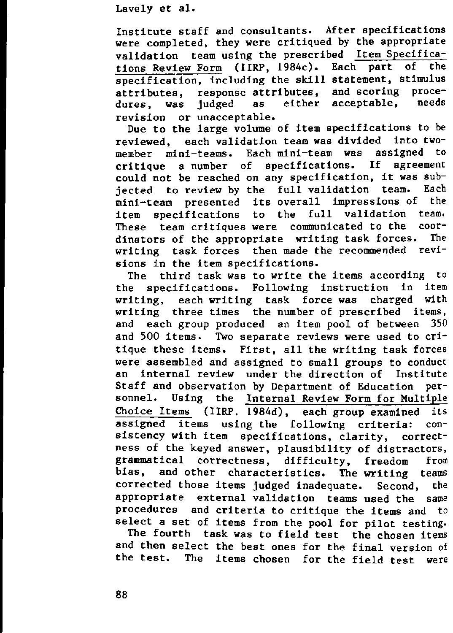Institute staff and consultants. After specifications were completed, they were critiqued by the appropriate validation team using the prescribed Item Specifications Review Form (IIRP, 1984c). Each part of the specification, including the skill statement, stimulus<br>attributes response attributes, and scoring proceattributes, response attributes, and scoring procedures, was judged as revision or unacceptable.

Due to the large volume of item specifications to be reviewed, each validation team was divided into twomember mini-teams. Each mini-team was critique a number of specifications. If agreement could not be reached on any specification, it was subjected to review by the full validation team. Each<br>mini-team presented its overall impressions of the mini-team presented its overall impressions of the item specifications to the These team critiques were communicated to the coordinators of the appropriate writing task forces. The writing task forces then made the recommended revisions in the item specifications.

The third task was to write the items according to the specifications. Following instruction in item writing, each writing task force was charged with writing three times the number of prescribed items, and each group produced an item pool of between 350 and 500 items. Two separate reviews were used to critique these items. First, all the writing task forces were assembled and assigned to small groups to conduct an internal review under the direction of Institute Staff and observation by Department of Education personnel. Using the Internal Review Form for Multiple Choice Items (IIRP, 1984d), each group examined its assigned items using the following criteria: consistency with item specifications, clarity, correctness of the keyed answer, plausibility of distractors, grammatical correctness, difficulty, freedom from bias, and other characteristics. The writing teams corrected those items judged inadequate. Second, the appropriate external validation teams used the same procedures and criteria to critique the items and to select a set of items from the pool for pilot testing.

The fourth task was to field test the chosen items and then select the best ones for the final version of the test. The items chosen for the field test were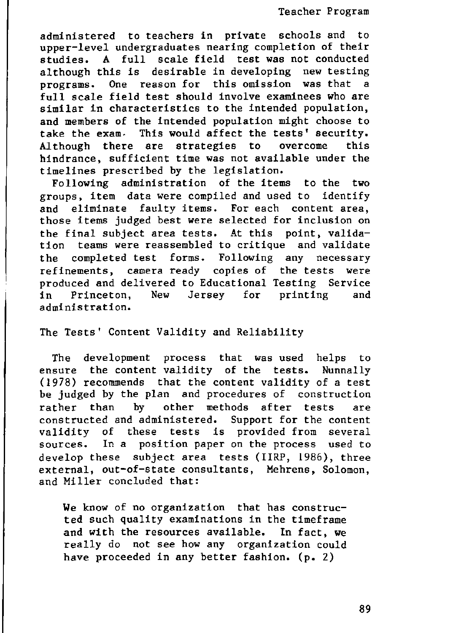Teacher Program

administered to teachers in private schools and to upper-level undergraduates nearing completion of their studies. A full scale field test was not conducted although this is desirable in developing new testing programs. One reason for this omission was that a full scale field test should involve examinees who are similar in characteristics to the intended population, and members of the intended population might choose to take the exam· This would affect the tests' security. Although there are strategies to overcome this hindrance, sufficient time was not available under the timelines prescribed by the legislation.

Following administration of the items to the two groups, item data were compiled and used to identify and eliminate faulty items. For each content area, those items judged best were selected for inclusion on the final subject area tests. At this point, validation teams were reassembled to critique and validate the completed test forms. Following any necessary **refinements, camera ready copies of the tests were** produced and delivered to Educational Testing Service in Princeton, New Jersey for printing and administration.

The Tests' Content Validity and Reliability

The development process that was used helps to ensure the content validity of the tests. Nunnally (1978) recommends that the content validity of a test be judged by the plan and procedures of construction rather than by other methods after tests are constructed and administered. Support for the content validity of these tests is provided from several **sources. In a position paper on the process used to** develop these subject area tests (IIRP, 1986), three **external, out-af-state consultants, Mehrens, Solomon,** and Miller concluded that:

We know of no organization that has constructed such quality examinations in the timeframe and with the resources available. In fact, we really do not see how any organization could have proceeded in any better fashion. (p. 2)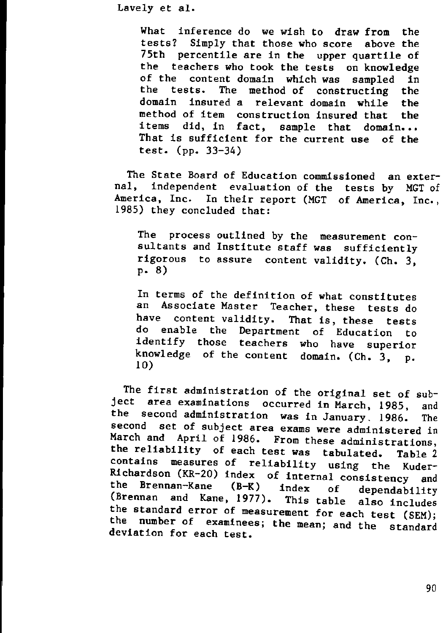What inference do we wish to draw from the tests? Simply that those who score above the 75th percentile are in the upper quartile of the teachers who took the tests on knowledge<br>of the content domain which was sampled in of the content domain which was sampled in<br>the tests. The method of constructing the the tests. The method of constructing domain insured a relevant domain while the method of item construction insured that the items did, in fact, sample that domain... That is sufficient for the current use of the test. (pp, 33-34)

The State Board of Education commissioned an external, independent evaluation of the tests by MGT of America, Inc. In their report (MGT of America, Inc., 1985) they concluded that:

The process outlined by the **measurement con**su1tants and Institute staff was sufficiently **rigorous to assure content** validity. (Ch. 3,  $p. 8)$ 

In terms of the definition of what constitutes an Associate Master Teacher, these tests do<br>have content validity. That is these tests content validity. That is, these tests do enable the Department of Education to identify those teachers who have superior knowledge of the content domain. (Ch. 3, p. 10)

The first administration of the original set of subject area examinations occurred in March, 1985, and the second administration was in January. 1986. The **second set of subject area exams were administered in** March and April of 1986. From these administrations, the reliability of each test was tabulated. Table 2 contains measures of reliability using the Kuder-Richardson (KR-20) index of internal consistency and<br>the Brennan-Kane (B-K) index of dependability the Brennan-Kane (B-K) index of dependability (Brennan and Kane, 1977). This table also includes the standard error of measurement for each test (SEM); the number of examinees; the mean; and the standard deviation for each test.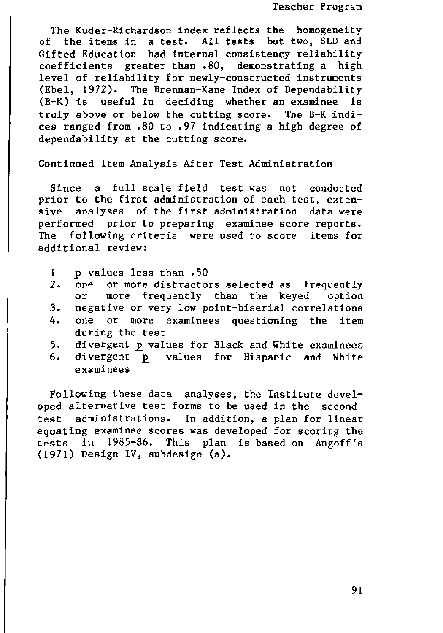The Kuder-Richardson index reflects the homogeneity of the items in a test. All tests but two, SLD and Gifted Education had internal consistency reliability coefficients greater than .80, demonstrating a high level of reliability for newly-constructed instruments (Ebel, 1972). The Brennan-Kane Index of Dependability (B-K) is useful in deciding whether an examinee is truly above or below the cutting score. The B-K indices ranged from .80 to .97 indicating a high degree of dependability at the cutting score.

Continued Item Analysis After Test Administration

Since a full scale field test was not conducted prior to the first administration of each test, extensive analyses of the first administration data were performed prior to preparing examinee score reports. The following criteria were used to score items for additional review:

- 1 **p** values less than .50<br>2. one or more distractor
- or more distractors selected as frequently or more frequently than the keyed option
- 3. negative or very low point-biserial correlations
- **4. one or more examinees questioning the item** during the test
- 5. divergent p values for Black and White examinees
- 6. divergent p values for Hispanic and White **examinees**

Following these data analyses, the Institute developed alternative test forms to be used in the second test administrations. In addition, a plan for linear equating examinee scores was developed for scoring the tests in 1985-86. This plan is based on Angoff's (1971) Design IV, subdesign (a).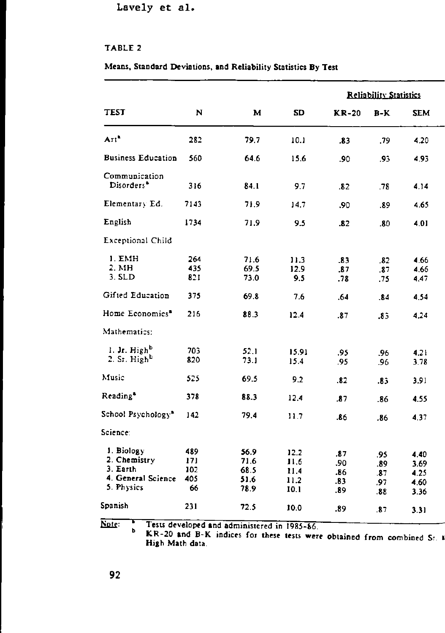### TABLE 2

#### **Means, Standard Deviations, and Reliability Statistics By Test**

|                                                                            |                                |                                      |                                      | <b>Reliability Statistics</b>   |                                 |                                      |  |  |
|----------------------------------------------------------------------------|--------------------------------|--------------------------------------|--------------------------------------|---------------------------------|---------------------------------|--------------------------------------|--|--|
| TEST                                                                       | N                              | м                                    | SD                                   | <b>KR-20</b>                    | B-K                             | SEM                                  |  |  |
| Art <sup>1</sup>                                                           | 282                            | 79.7                                 | 10.1                                 | .83                             | .79                             | 4.20                                 |  |  |
| <b>Business Education</b>                                                  | 560                            | 64.6                                 | 15.6                                 | .90                             | .93                             | 4.95                                 |  |  |
| Communication<br>Disorders <sup>®</sup>                                    | 316                            | 84.1                                 | 9.7                                  | .82                             | -78                             | 4.14                                 |  |  |
| Elementary Ed.                                                             | 7143                           | 71.9                                 | 14.7                                 | .90                             | .89                             | 4.65                                 |  |  |
| English                                                                    | 1734                           | 71.9                                 | 9.5                                  | .82                             | .80                             | 4.01                                 |  |  |
| <b>Exceptional Child</b>                                                   |                                |                                      |                                      |                                 |                                 |                                      |  |  |
| I. EMH<br>2. MH<br>$3.$ SLD                                                | 264<br>435<br>821              | 71.6<br>69.5<br>73.0                 | 11.3<br>12.9<br>9.5                  | .83<br>.87<br>.78               | .82<br>.87<br>75                | 4.66<br>4.66<br>4.47                 |  |  |
| Gifted Education                                                           | 375                            | 69.8                                 | 7.6                                  | .64                             | .84                             | 4.54                                 |  |  |
| Home Economics <sup>®</sup>                                                | 216                            | 88.3                                 | 12.4                                 | .87                             | .83                             | 4.24                                 |  |  |
| Mathematics:                                                               |                                |                                      |                                      |                                 |                                 |                                      |  |  |
| 1. Jr. Highb<br>2. Sr. High <sup>b</sup>                                   | 703<br>820                     | 52.1<br>73.1                         | 15.91<br>15.4                        | .95<br>.95                      | .96<br>.96                      | 4.21<br>3.78                         |  |  |
| Music                                                                      | 5.5                            | 69.5                                 | 9.2                                  | .82                             | .83                             | 3.91                                 |  |  |
| Reading <sup>*</sup>                                                       | 378                            | 88.3                                 | 12.4                                 | .87                             | .86                             | 4.55                                 |  |  |
| School Psychology*                                                         | 142                            | 79.4                                 | 11.7                                 | .86                             | .86                             | 437                                  |  |  |
| Science.                                                                   |                                |                                      |                                      |                                 |                                 |                                      |  |  |
| 1. Biology<br>2. Chemistry<br>3. Earth<br>4. General Science<br>5. Physics | 489<br>171<br>102<br>405<br>66 | 56.9<br>71.6<br>68.5<br>51.6<br>78.9 | 12.2<br>11.6<br>11.4<br>11.2<br>10.1 | .87<br>.90<br>.86<br>-83<br>.89 | .95<br>.89<br>.87<br>.97<br>.88 | 4.40<br>3.69<br>4.25<br>4.60<br>3.36 |  |  |
| Spanish                                                                    | 231                            | 72.5                                 | 10.0                                 | .89                             | .87                             | 3.31                                 |  |  |
|                                                                            |                                |                                      |                                      |                                 |                                 |                                      |  |  |

~, **Tests developed and** administered **in <sup>J</sup> 985-86.**  $\mathbf b$ 

**KR-20 and B-K indices for these tests were obtained from combined Sr. .' High Math data.**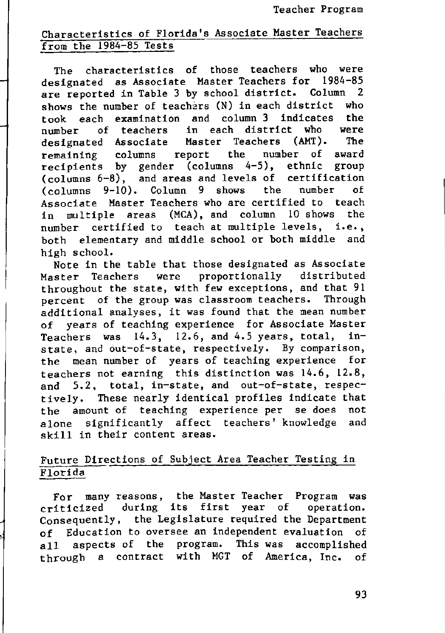## Characteristics of Florida's Associate Master Teachers from the 1984-85 Tests

The characteristics of those teachers who were designated as Associate Master Teachers for 1984-85 are reported in Table 3 by school district. Column 2 shows the number of teachers (N) in each district who took each examination and column 3 indicates the number of teachers in each district who<br>designated Associate Master Teachers (AMT). designated Associate Master Teachers (AMT). The remaining columns report the number of award recipients by gender (columns 4-5), ethnic group (columns 6-8), and areas and levels of certification (columns 9-10). Column 9 shows the number of Associate Master Teachers who are certified to teach in multiple areas (MCA), and column 10 shows the number certified to teach at multiple levels, i.e., both elementary and middle school or both middle and high school.

Note in the table that those designated as Associate Master Teachers were proportionally distributed throughout the state, with few exceptions, and that 91 percent of the group was classroom teachers. Through additional analyses, it was found that the mean number of years of teaching experience for Associate Master Teachers was 14.3, 12.6, and 4.5 years, total, in**state, and out-of-state, respectively. By comparison,** the mean number of years of teaching experience for teachers not earning this distinction was 14.6, 12.8, and 5.2, total, in-state, and out-of-state, respectively. These nearly identical profiles indicate that the amount of teaching experience per se does not alone significantly affect teachers' knowledge and skill in their content areas.

### Future Directions of Subject Area Teacher Testing in Florida

For many reasons, the Master Teacher Program was criticized during its first year of operation. Consequently, the Legislature required the Department of Education to oversee an independent evaluation of all aspects of the program. This was accomplished through a contract with MGT of America, Inc. of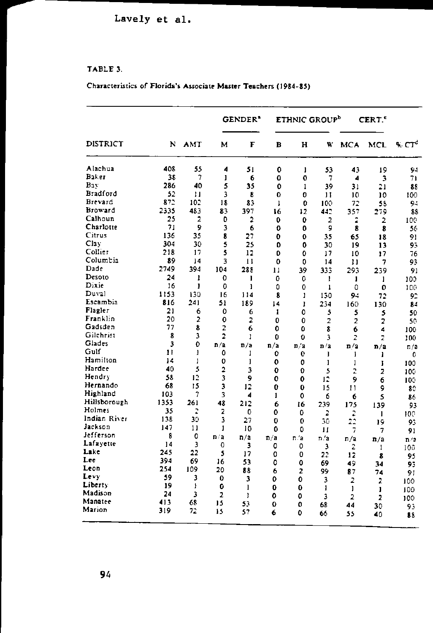### TABLE 3.

### Characteristics of Florida's Associate Master Teachers (1984-85)

|                 |                         | AMT            |                         | GENDER <sup>*</sup> |              |                | ETHNIC GROUP <sup>b</sup> |                | CERT."         |          |
|-----------------|-------------------------|----------------|-------------------------|---------------------|--------------|----------------|---------------------------|----------------|----------------|----------|
| DISTRICT        | N                       |                | м                       | F                   | в            | н              | W                         | MCA            | MCL            | % $CT^d$ |
| Alachua         | 40\$                    | 55             | 4                       | 51                  | 0            | $\mathbf{I}$   | 53                        | 43             | 19             | 94       |
| Baker           | 38                      | 7              | $\mathbf{I}$            | 6                   | ٥            | $\mathbf 0$    | 7                         | 4              | 3              | 71       |
| Bay             | 286                     | 40             | 5                       | 35                  | ٥            | 1              | 39                        | 31             | 21             | 88       |
| <b>Bradford</b> | 52                      | 11             | 3                       | 8                   | 0            | 0              | 11                        | 10             | 10             | 100      |
| Brevard         | 872                     | 102            | 18                      | 83                  | $\mathbf{1}$ | Ô              | 100                       | 72             | 58             | 94       |
| <b>Broward</b>  | 2335                    | 483            | 83                      | 397                 | 16           | 12             | 442                       | 357            | 279            | 88       |
| Calhoun         | 25                      | 2              | 0                       | 2                   | 0            | 0              | 2                         | 2              | $\overline{2}$ | 100      |
| Charlotte       | 71                      | 9              | 3                       | 6                   | 0            | 0              | 9                         | 8              | 8              | 56       |
| Citrus          | 136                     | 35             | 8                       | 27                  | 0            | 0              | 35                        | 65             | 18             | 91       |
| Cl <sub>3</sub> | 304                     | 30             | 5                       | 25                  | o            | 0              | 30                        | 19             | 13             | 95       |
| Collier         | 218                     | 17             | 5                       | 12                  | 0            | 0              | 17                        | 10             | 17             | 76       |
| Columbia        | 89                      | 14             | 3                       | $\mathbf{1}$        | Ō            | 0              | 14                        | Ħ              | 7              | 93       |
| Dade            | 2749                    | 394            | 104                     | 288                 | 11           | 39             | 333                       | 293            | 239            | 91       |
| Desoto          | 24                      | 1              | 0                       | L                   | 0            | 0              | ı                         | 1              | 1              | 100      |
| Dixie           | 16                      | ı              | 0                       | ı                   | Û            | 0              | 1                         | 0              | 0              | 100      |
| Duval           | 1153                    | 130            | 16                      | 114                 | 8            | ı              | 130                       | 94             | 72             | 92       |
| Escambia        | 816                     | 241            | 51                      | 189                 | 14           | I              | 234                       | 160            | 130            | 84       |
| Flagler         | 21                      | 6              | 0                       | 6                   | I            | 0              | 5                         | 5              | 5              | 50       |
| Franklin        | 20                      | $\overline{a}$ | 0                       | 2                   | 0            | 0              | 2                         | $\overline{c}$ | 2              | 50       |
| Gadsden         | 77                      | 8              | 2                       | 6                   | 0            | 0              | 8                         | 6              | 4              | 100      |
| Gilchrist       | 8                       | 3              | 2                       | ı                   | 0            | 0              | 3                         | Ż              | $\overline{z}$ | 100      |
| Giades          | $\overline{\mathbf{3}}$ | 0              | n/a                     | n/a                 | n/a          | n/a            | n/a                       | n/2            | n/a            | n/a      |
| Gulf            | 11                      | 1              | 0                       | ı                   | 0            | 0              | J                         | ĵ              | ı              | 0        |
| Hamilton        | 14                      | 1              | 0                       | I                   | 0            | 0              | I                         | ı              | I              | 100      |
| Hardee          | 40                      | 5              | $\overline{a}$          | 3                   | 0            | 0              | 5                         | ż              | 2              | 100      |
| Hendry          | 58                      | 12             | 3                       | 9                   | 0            | 0              | 12                        | 9              | 6              | 100      |
| Hernando        | 68                      | 15             | 3                       | 12                  | 0            | 0              | 15                        | 11             | 9              | 80       |
| Highland        | 103                     | 7              | 3                       | 4                   | 1            | 0              | 6                         | 6              | 5              | 86       |
| Hillsborough    | 1353                    | 261            | 48                      | 212                 | 6            | 16             | 239                       | 175            | 139            | 93       |
| Holmes          | 35                      | 2              | $\overline{\mathbf{2}}$ | 0                   | 0            | 0              | 2                         | 2              | 1              | 100      |
| Indian River    | 138                     | 30             | 3                       | 27                  | 0            | 0              | 30                        | 22             | 19             | 93       |
| Jackson         | 147                     | $\mathbf{1}$   | 1                       | 10                  | 0            | 0              | Ħ                         | 7              | 7              | 91       |
| Jefferson       | 8                       | 0              | n 'a                    | n/a                 | n/a          | n <sub>2</sub> | n/a                       | n/a            |                |          |
| Lafayette       | 14                      | 3              | 0                       | 3                   | 0            | 0              | 3                         | 2              | n/a            | n/2      |
| Lake            | 245                     | 22             | 5                       | 17                  | 0            | 0              | 22                        | 12             | 1              | 100      |
| Lee             | 394                     | 69             | 16                      | 53                  | 0            | 0              | 69                        | 49             | 8              | 95       |
| Leon            | 254                     | 109            | 20                      | 88                  | 6            | 2              | 99                        | 87             | 34             | 95       |
| Levv            | 59                      | 3              | 0                       | 3                   | 0            | 0              | 3                         |                | 74             | 91       |
| Liberty         | 19                      | ł              | 0                       | 1                   | ٥            | 0              |                           | 2              | $\overline{z}$ | 100      |
| Madison         | 24                      | 3              | $\overline{2}$          | ı                   | 0            | O              | 1<br>3                    | 1              | $\mathbf{I}$   | 100      |
| Manatee         | 413                     | 68             | 15                      | 53                  | 0            | 0              |                           | $\overline{2}$ | $\overline{2}$ | 100      |
| Marion          | 319                     | 72             | 15                      | 57                  | 6            | ٥              | 68                        | 44             | 30             | 93       |
|                 |                         |                |                         |                     |              |                | 66                        | 55             | 40             | 88       |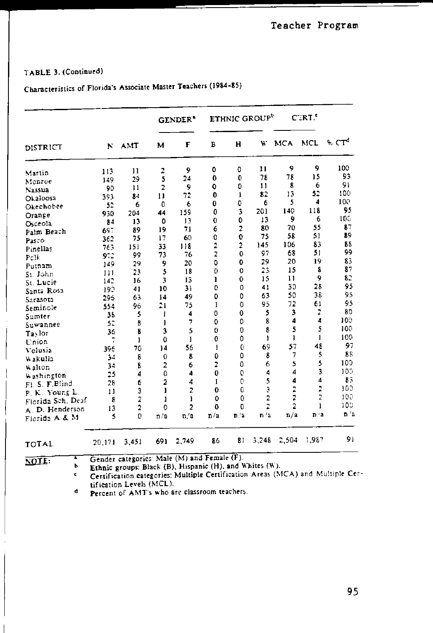### TABLE 3. (Continued)

# Characteristics of Florida's Associate Master Teachers (1984-85)

|                                  |         |                |                | <b>GENDER</b> <sup>*</sup> |                     |                         | ETHNIC GROUP <sup>b</sup> |                         | C <sub>IRI</sub> |                          |
|----------------------------------|---------|----------------|----------------|----------------------------|---------------------|-------------------------|---------------------------|-------------------------|------------------|--------------------------|
| DISTRICT                         | ĸ       | <b>AMT</b>     | м              | F                          | в                   | H                       | W                         | <b>MCA</b>              | <b>MCL</b>       | $A$ $C$ $T$ <sup>d</sup> |
|                                  | 113     | 11             | 2              | 9                          | 0                   | 0                       | $\mathbf{11}$             | 9                       | 9                | 100                      |
| Martin                           | 149     | 29             | 5              | 24                         | 0                   | $\mathbf{0}$            | 78                        | 78                      | 15               | 93                       |
| Monroe<br>Nassua                 | 90      | 11             | $\overline{2}$ | 9                          | O                   | 0                       | 11                        | 8                       | 6                | 91                       |
| Okaloosa                         | 393     | 84             | 11             | 72                         | 0                   | ı                       | 82                        | 13                      | 52               | 100                      |
| Okechobee                        | 52      | 6              | $\mathbf 0$    | 6                          | 0                   | 0                       | 6                         | 5                       | 4                | 100                      |
| Orange                           | 930     | 204            | 44             | 159                        | $\mathbf 0$         | 3                       | 201                       | 140                     | 118              | 95                       |
| Osceola                          | 84      | 13             | $\mathbf 0$    | 13                         | $\mathbf 0$         | 0                       | 13                        | 9                       | 6                | 100                      |
| Palm Beach                       | 697     | 89             | 19             | 71                         | 6                   | $\overline{\mathbf{z}}$ | 80                        | 70                      | 55               | 87                       |
| Pasco                            | 362     | 75             | 17             | 60                         | $\ddot{\mathbf{0}}$ | $\mathbf 0$             | 75                        | 58                      | 51               | 89                       |
| Pinellas                         | 763     | 151            | 33             | 118                        | 2                   | 2                       | 145                       | 106                     | 83               | 88                       |
| Pclk                             | 9.2     | 99             | 73             | 76                         | 2                   | 0                       | 97                        | 68                      | 51               | 99                       |
| Putnam                           | 149     | 29             | 9              | 20                         | 0                   | 0                       | 29                        | 20                      | 19               | 83                       |
| St. John                         | 111     | 23             | 5              | 18                         | 0                   | 0                       | 23                        | 15                      | £                | 87                       |
| St. Lucie                        | 14.2    | 16             | 3              | 13                         | ı                   | 0                       | 15                        | $\mathbf{1}$            | 9                | 82                       |
| Santa Rosa                       | 193     | 41             | 10             | 31                         | Ō                   | 0                       | 41                        | 30                      | 28               | 95                       |
|                                  | 296     | 63             | 14             | 49                         | $\mathbf 0$         | $\mathbf{0}$            | 63                        | 50                      | 38               | 95                       |
| Sarasota                         | 554     | 96             | 21             | 75                         | ı                   | 0                       | 95                        | 72                      | 61               | 95                       |
| Seminole                         | 38      | 5              | г              | 4                          | 0                   | 0                       | 5                         | 3                       | Ż                | 80                       |
| Sumter                           | 52      | 8              | ı              | $\overline{z}$             | $\Omega$            | $\mathbf 0$             | 8                         | 4                       | 4                | 100                      |
| Suwannee                         | 36      | 8              | 3              | 5                          | $\mathbf{0}$        | $\mathbf 0$             | 8                         | 5                       | 5                | 100                      |
| Taylor                           | t       | ł              | $\Omega$       | ı                          | $\bf{0}$            | 0                       | ł.                        | ı                       | 1                | 100                      |
| Union                            | 396     | 70             | 14             | 56                         | I                   | $\mathbf 0$             | 69                        | 57                      | 48               | 97                       |
| Volusia                          | 54      | 8              | $\mathbf 0$    | 8                          | $\mathbf 0$         | 0                       | 8                         | 7                       | 5                | 88                       |
| Wakulla                          | 34      | 8              | $\overline{a}$ | 6                          | $\overline{2}$      | 0                       | 6                         | 5                       | 5                | 100                      |
| Walton                           | 25      | 4              | 0              | 4                          | 0                   | 0                       | 4                         | 4                       | 3                | 100                      |
| Washington                       | 28      | 6              | 2              | 4                          | 1                   | 0                       | 5                         | 4                       | 4                | 83                       |
| Fl. S. F. Blind                  | 11      | 3              | ı              | $\overline{z}$             | 0                   | 0                       | 3                         | $\overline{z}$          | Ż                | 100                      |
| P. K. Young L.                   | 8       | 2              | I              | ı                          | 0                   | $\Omega$                | $\overline{c}$            | $\overline{\mathbf{c}}$ | $\ddot{z}$       | $100 -$                  |
| Florida Sch. Deaf                |         | $\overline{c}$ | $\Omega$       | $\overline{2}$             | $\mathbf 0$         | 0                       | 2                         | $\overline{a}$          | $\mathbf{I}$     | 100                      |
| A. D. Henderson<br>Florida A & M | 13<br>5 | 0              | n/a            | n/a                        | n/n                 | $\mathbf{n}/\mathbf{a}$ | n/a                       | n/a                     | n 'a             | $n$ $'z$                 |
| <b>TOTAL</b>                     | 20,171  | 3,451          | 691            | 2.749                      | 86                  | 81                      | 3.248                     | 2,504                   | 1,987            | 91                       |

 $\overline{\text{NOTE}}$ 

Gender categories: Male (M) and Female (F). r

Ethnic groups: Black (B), Hispanic (H), and Whites (W). Ъ

Certification categories: Multiple Certification Areas (MCA) and Multiple Cer- $\mathbf{c}$ tification Levels (MCL).

d Percent of AMT's who are classroom teachers.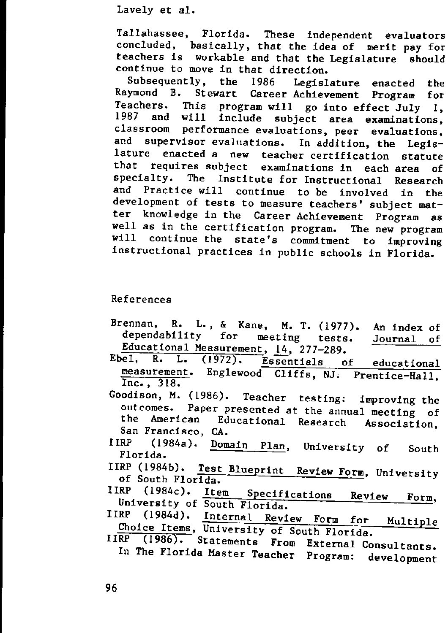Tallahassee, Florida. These independent evaluators concluded, basically, that the idea of merit pay for teachers is workable and that the Legislature should continue to move in that direction.<br>Subsequently, the 1986 Legisl

Legislature enacted the Raymond B. Stewart Career Achievement Program for Teachers. This program will go into effect July I, 1987 and will include subject area examinations, **classroom performance evaluations, peer evaluations,** and supervisor evaluations. In addition, the Legis-<br>lature enacted a new teacher certification statute enacted a new teacher certification statute that requires subject examinations in each area of specialty. The Institute for Instructional Research and Practice will continue to be involved in the development of tests to measure teachers' subject matter knowledge in the Career Achievement Program as well as in the certification program. The new program will continue the state's commitment to improving instructional practices in public schools in Florida.

### References

- Brennan, R. L., & Kane, M. T. (1977). An index of dependability for meeting tests. Educational Measurement, 14, 277-289. Journal of
- Ebel, R. L. (1972). Essentials of educational measurement. Englewood Cliffs, NJ. Prentice-Hall, Inc., 318.
- Goodison, M. (1986). Teacher testing: improving the outcomes. Paper presented at the annual meeting of the American Educational Research Association, San Francisco, CA.
- IIRP (1984a). Domain Plan, University of Florida. South
- IIRP (1984b). Test Blueprint Review Form, University of South Florida.
- IIRP (1984c). Item Specifications Review **Form,** University of South Florida.
- IIRP (1984d). Internal Review Form for Multiple Choice Items, University of South Florida.
- IIRP (1986). Statements From External Consultants. In The Florida Master Teacher Program: development